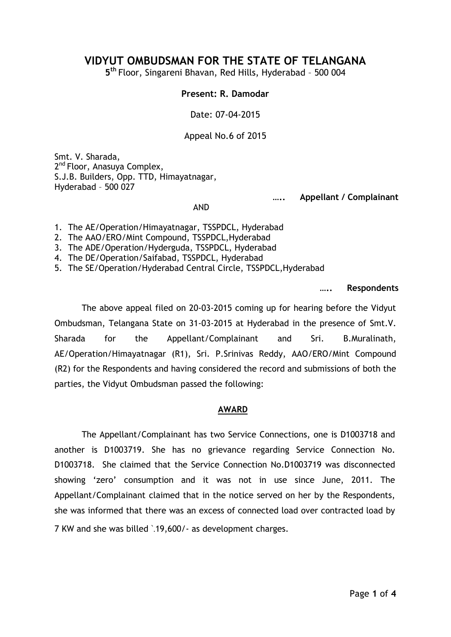# **VIDYUT OMBUDSMAN FOR THE STATE OF TELANGANA**

**5 th** Floor, Singareni Bhavan, Red Hills, Hyderabad – 500 004

#### **Present: R. Damodar**

Date: 07-04-2015

Appeal No.6 of 2015

Smt. V. Sharada, 2<sup>nd</sup> Floor, Anasuya Complex, S.J.B. Builders, Opp. TTD, Himayatnagar, Hyderabad – 500 027

**….. Appellant / Complainant**

AND

1. The AE/Operation/Himayatnagar, TSSPDCL, Hyderabad

2. The AAO/ERO/Mint Compound, TSSPDCL,Hyderabad

3. The ADE/Operation/Hyderguda, TSSPDCL, Hyderabad

4. The DE/Operation/Saifabad, TSSPDCL, Hyderabad

5. The SE/Operation/Hyderabad Central Circle, TSSPDCL,Hyderabad

**….. Respondents**

The above appeal filed on 20-03-2015 coming up for hearing before the Vidyut Ombudsman, Telangana State on 31-03-2015 at Hyderabad in the presence of Smt.V. Sharada for the Appellant/Complainant and Sri. B.Muralinath, AE/Operation/Himayatnagar (R1), Sri. P.Srinivas Reddy, AAO/ERO/Mint Compound (R2) for the Respondents and having considered the record and submissions of both the parties, the Vidyut Ombudsman passed the following:

## **AWARD**

The Appellant/Complainant has two Service Connections, one is D1003718 and another is D1003719. She has no grievance regarding Service Connection No. D1003718. She claimed that the Service Connection No.D1003719 was disconnected showing 'zero' consumption and it was not in use since June, 2011. The Appellant/Complainant claimed that in the notice served on her by the Respondents, she was informed that there was an excess of connected load over contracted load by 7 KW and she was billed `.19,600/- as development charges.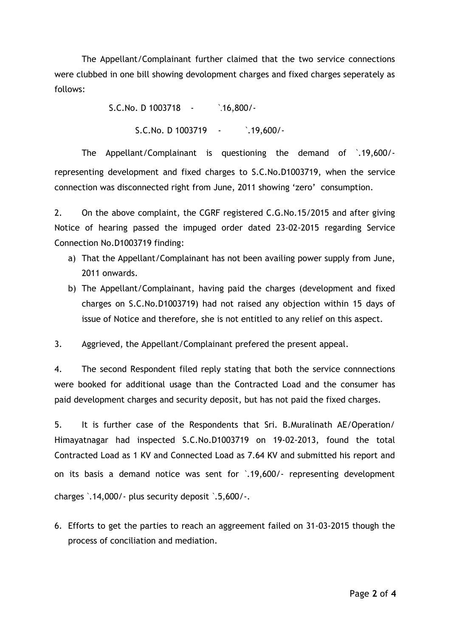The Appellant/Complainant further claimed that the two service connections were clubbed in one bill showing devolopment charges and fixed charges seperately as follows:

> S.C.No. D 1003718 - `.16,800/- S.C.No. D 1003719 - \,19,600/-

The Appellant/Complainant is questioning the demand of `.19,600/ representing development and fixed charges to S.C.No.D1003719, when the service connection was disconnected right from June, 2011 showing 'zero' consumption.

2. On the above complaint, the CGRF registered C.G.No.15/2015 and after giving Notice of hearing passed the impuged order dated 23-02-2015 regarding Service Connection No.D1003719 finding:

- a) That the Appellant/Complainant has not been availing power supply from June, 2011 onwards.
- b) The Appellant/Complainant, having paid the charges (development and fixed charges on S.C.No.D1003719) had not raised any objection within 15 days of issue of Notice and therefore, she is not entitled to any relief on this aspect.

3. Aggrieved, the Appellant/Complainant prefered the present appeal.

4. The second Respondent filed reply stating that both the service connnections were booked for additional usage than the Contracted Load and the consumer has paid development charges and security deposit, but has not paid the fixed charges.

5. It is further case of the Respondents that Sri. B.Muralinath AE/Operation/ Himayatnagar had inspected S.C.No.D1003719 on 19-02-2013, found the total Contracted Load as 1 KV and Connected Load as 7.64 KV and submitted his report and on its basis a demand notice was sent for `.19,600/- representing development charges `.14,000/- plus security deposit `.5,600/-.

6. Efforts to get the parties to reach an aggreement failed on 31-03-2015 though the process of conciliation and mediation.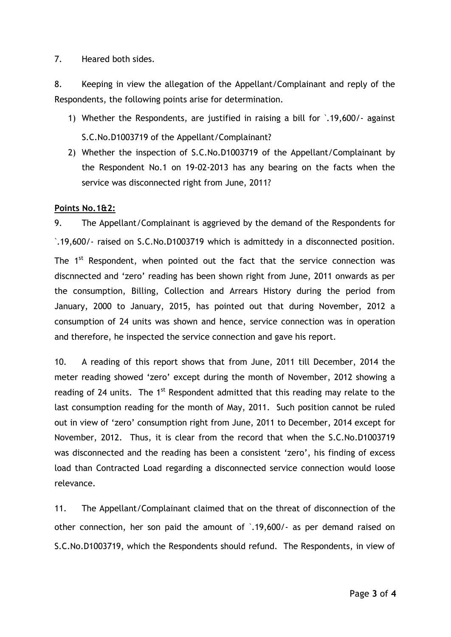### 7. Heared both sides.

8. Keeping in view the allegation of the Appellant/Complainant and reply of the Respondents, the following points arise for determination.

- 1) Whether the Respondents, are justified in raising a bill for `.19,600/- against S.C.No.D1003719 of the Appellant/Complainant?
- 2) Whether the inspection of S.C.No.D1003719 of the Appellant/Complainant by the Respondent No.1 on 19-02-2013 has any bearing on the facts when the service was disconnected right from June, 2011?

### **Points No.1&2:**

9. The Appellant/Complainant is aggrieved by the demand of the Respondents for `.19,600/- raised on S.C.No.D1003719 which is admittedy in a disconnected position. The 1<sup>st</sup> Respondent, when pointed out the fact that the service connection was discnnected and 'zero' reading has been shown right from June, 2011 onwards as per the consumption, Billing, Collection and Arrears History during the period from January, 2000 to January, 2015, has pointed out that during November, 2012 a consumption of 24 units was shown and hence, service connection was in operation and therefore, he inspected the service connection and gave his report.

10. A reading of this report shows that from June, 2011 till December, 2014 the meter reading showed 'zero' except during the month of November, 2012 showing a reading of 24 units. The 1<sup>st</sup> Respondent admitted that this reading may relate to the last consumption reading for the month of May, 2011. Such position cannot be ruled out in view of 'zero' consumption right from June, 2011 to December, 2014 except for November, 2012. Thus, it is clear from the record that when the S.C.No.D1003719 was disconnected and the reading has been a consistent 'zero', his finding of excess load than Contracted Load regarding a disconnected service connection would loose relevance.

11. The Appellant/Complainant claimed that on the threat of disconnection of the other connection, her son paid the amount of `.19,600/- as per demand raised on S.C.No.D1003719, which the Respondents should refund. The Respondents, in view of